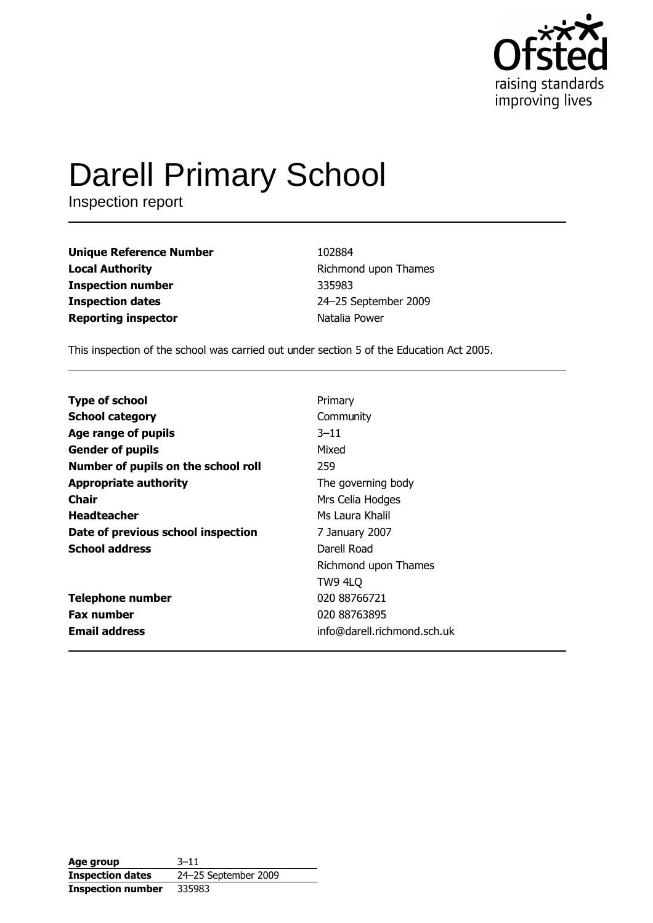

# **Darell Primary School**

Inspection report

**Unique Reference Number Local Authority Inspection number Inspection dates Reporting inspector** 

102884 Richmond upon Thames 335983 24-25 September 2009 Natalia Power

This inspection of the school was carried out under section 5 of the Education Act 2005.

**Type of school** Primary **School category** Community Age range of pupils  $3 - 11$ **Gender of pupils** Mixed Number of pupils on the school roll 259 **Appropriate authority** The governing body **Chair** Mrs Celia Hodges **Headteacher** Ms Laura Khalil Date of previous school inspection 7 January 2007 **School address** Darell Road Richmond upon Thames **TW9 4LO Telephone number** 020 88766721 **Fax number** 020 88763895 **Email address** info@darell.richmond.sch.uk

| Age group                | $3 - 11$             |
|--------------------------|----------------------|
| <b>Inspection dates</b>  | 24-25 September 2009 |
| <b>Inspection number</b> | 335983               |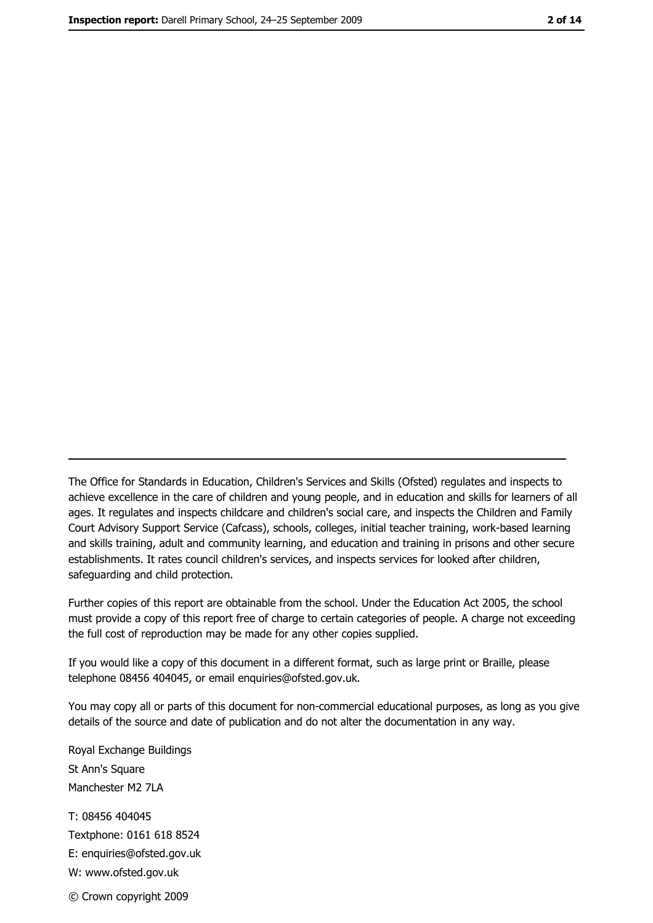The Office for Standards in Education, Children's Services and Skills (Ofsted) regulates and inspects to achieve excellence in the care of children and young people, and in education and skills for learners of all ages. It regulates and inspects childcare and children's social care, and inspects the Children and Family Court Advisory Support Service (Cafcass), schools, colleges, initial teacher training, work-based learning and skills training, adult and community learning, and education and training in prisons and other secure establishments. It rates council children's services, and inspects services for looked after children, safequarding and child protection.

Further copies of this report are obtainable from the school. Under the Education Act 2005, the school must provide a copy of this report free of charge to certain categories of people. A charge not exceeding the full cost of reproduction may be made for any other copies supplied.

If you would like a copy of this document in a different format, such as large print or Braille, please telephone 08456 404045, or email enquiries@ofsted.gov.uk.

You may copy all or parts of this document for non-commercial educational purposes, as long as you give details of the source and date of publication and do not alter the documentation in any way.

Royal Exchange Buildings St Ann's Square Manchester M2 7LA T: 08456 404045 Textphone: 0161 618 8524 E: enquiries@ofsted.gov.uk W: www.ofsted.gov.uk © Crown copyright 2009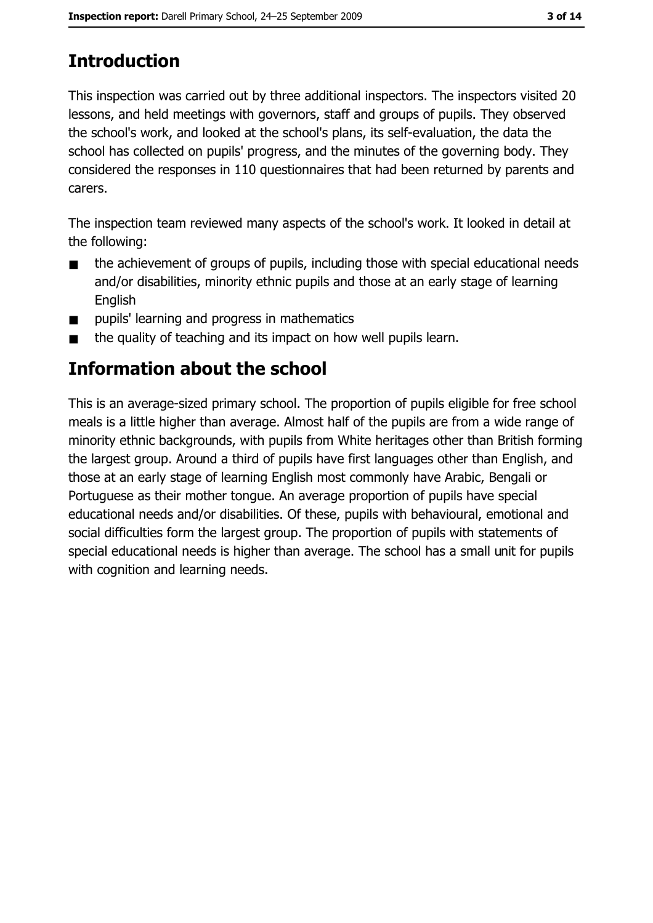# **Introduction**

This inspection was carried out by three additional inspectors. The inspectors visited 20 lessons, and held meetings with governors, staff and groups of pupils. They observed the school's work, and looked at the school's plans, its self-evaluation, the data the school has collected on pupils' progress, and the minutes of the governing body. They considered the responses in 110 questionnaires that had been returned by parents and carers.

The inspection team reviewed many aspects of the school's work. It looked in detail at the following:

- the achievement of groups of pupils, including those with special educational needs  $\blacksquare$ and/or disabilities, minority ethnic pupils and those at an early stage of learning Enalish
- pupils' learning and progress in mathematics  $\blacksquare$
- the quality of teaching and its impact on how well pupils learn.  $\blacksquare$

## Information about the school

This is an average-sized primary school. The proportion of pupils eligible for free school meals is a little higher than average. Almost half of the pupils are from a wide range of minority ethnic backgrounds, with pupils from White heritages other than British forming the largest group. Around a third of pupils have first languages other than English, and those at an early stage of learning English most commonly have Arabic, Bengali or Portuguese as their mother tongue. An average proportion of pupils have special educational needs and/or disabilities. Of these, pupils with behavioural, emotional and social difficulties form the largest group. The proportion of pupils with statements of special educational needs is higher than average. The school has a small unit for pupils with cognition and learning needs.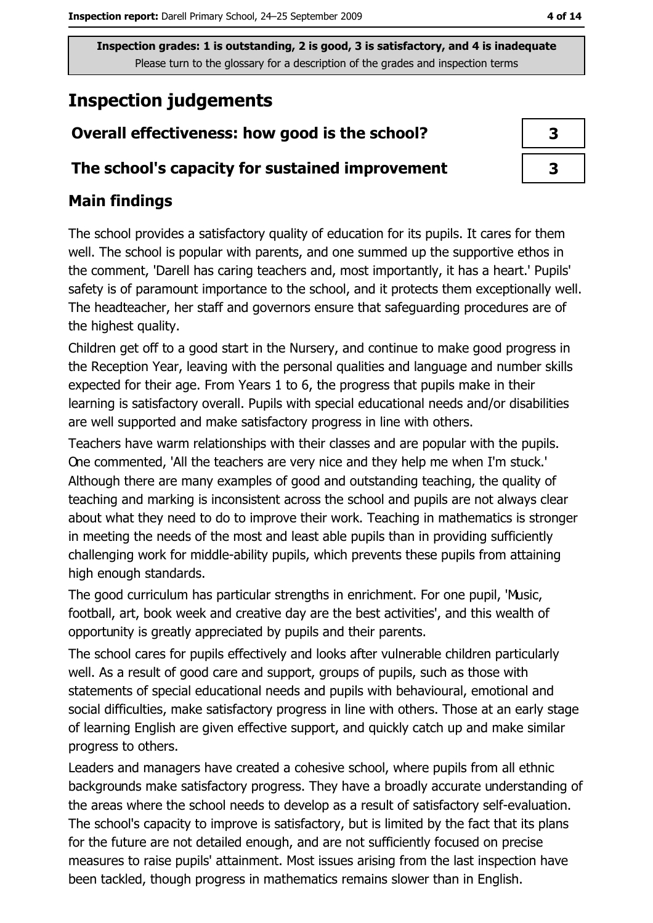## **Inspection judgements**

## Overall effectiveness: how good is the school?

#### The school's capacity for sustained improvement

## **Main findings**

The school provides a satisfactory quality of education for its pupils. It cares for them well. The school is popular with parents, and one summed up the supportive ethos in the comment, 'Darell has caring teachers and, most importantly, it has a heart.' Pupils' safety is of paramount importance to the school, and it protects them exceptionally well. The headteacher, her staff and governors ensure that safeguarding procedures are of the highest quality.

Children get off to a good start in the Nursery, and continue to make good progress in the Reception Year, leaving with the personal qualities and language and number skills expected for their age. From Years 1 to 6, the progress that pupils make in their learning is satisfactory overall. Pupils with special educational needs and/or disabilities are well supported and make satisfactory progress in line with others.

Teachers have warm relationships with their classes and are popular with the pupils. One commented, 'All the teachers are very nice and they help me when I'm stuck.' Although there are many examples of good and outstanding teaching, the quality of teaching and marking is inconsistent across the school and pupils are not always clear about what they need to do to improve their work. Teaching in mathematics is stronger in meeting the needs of the most and least able pupils than in providing sufficiently challenging work for middle-ability pupils, which prevents these pupils from attaining high enough standards.

The good curriculum has particular strengths in enrichment. For one pupil, 'Music, football, art, book week and creative day are the best activities', and this wealth of opportunity is greatly appreciated by pupils and their parents.

The school cares for pupils effectively and looks after vulnerable children particularly well. As a result of good care and support, groups of pupils, such as those with statements of special educational needs and pupils with behavioural, emotional and social difficulties, make satisfactory progress in line with others. Those at an early stage of learning English are given effective support, and quickly catch up and make similar progress to others.

Leaders and managers have created a cohesive school, where pupils from all ethnic backgrounds make satisfactory progress. They have a broadly accurate understanding of the areas where the school needs to develop as a result of satisfactory self-evaluation. The school's capacity to improve is satisfactory, but is limited by the fact that its plans for the future are not detailed enough, and are not sufficiently focused on precise measures to raise pupils' attainment. Most issues arising from the last inspection have been tackled, though progress in mathematics remains slower than in English.

| 3  |  |
|----|--|
| -2 |  |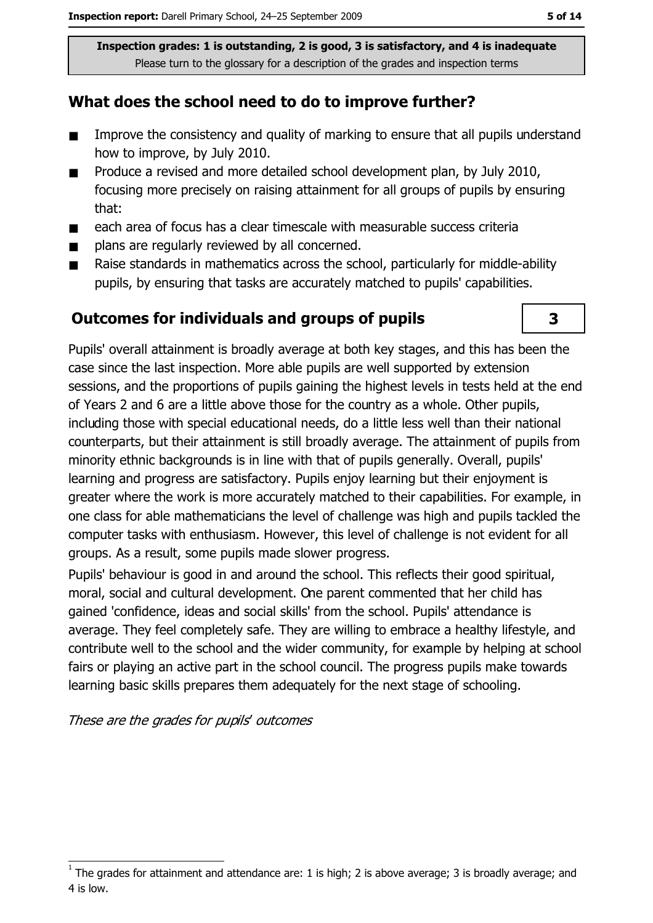#### What does the school need to do to improve further?

- $\blacksquare$ Improve the consistency and quality of marking to ensure that all pupils understand how to improve, by July 2010.
- Produce a revised and more detailed school development plan, by July 2010,  $\blacksquare$ focusing more precisely on raising attainment for all groups of pupils by ensuring that:
- each area of focus has a clear timescale with measurable success criteria  $\blacksquare$
- plans are regularly reviewed by all concerned.  $\blacksquare$
- Raise standards in mathematics across the school, particularly for middle-ability  $\blacksquare$ pupils, by ensuring that tasks are accurately matched to pupils' capabilities.

#### **Outcomes for individuals and groups of pupils**

3

Pupils' overall attainment is broadly average at both key stages, and this has been the case since the last inspection. More able pupils are well supported by extension sessions, and the proportions of pupils gaining the highest levels in tests held at the end of Years 2 and 6 are a little above those for the country as a whole. Other pupils, including those with special educational needs, do a little less well than their national counterparts, but their attainment is still broadly average. The attainment of pupils from minority ethnic backgrounds is in line with that of pupils generally. Overall, pupils' learning and progress are satisfactory. Pupils enjoy learning but their enjoyment is greater where the work is more accurately matched to their capabilities. For example, in one class for able mathematicians the level of challenge was high and pupils tackled the computer tasks with enthusiasm. However, this level of challenge is not evident for all groups. As a result, some pupils made slower progress.

Pupils' behaviour is good in and around the school. This reflects their good spiritual, moral, social and cultural development. One parent commented that her child has gained 'confidence, ideas and social skills' from the school. Pupils' attendance is average. They feel completely safe. They are willing to embrace a healthy lifestyle, and contribute well to the school and the wider community, for example by helping at school fairs or plaving an active part in the school council. The progress pupils make towards learning basic skills prepares them adequately for the next stage of schooling.

These are the grades for pupils' outcomes

The grades for attainment and attendance are: 1 is high; 2 is above average; 3 is broadly average; and 4 is low.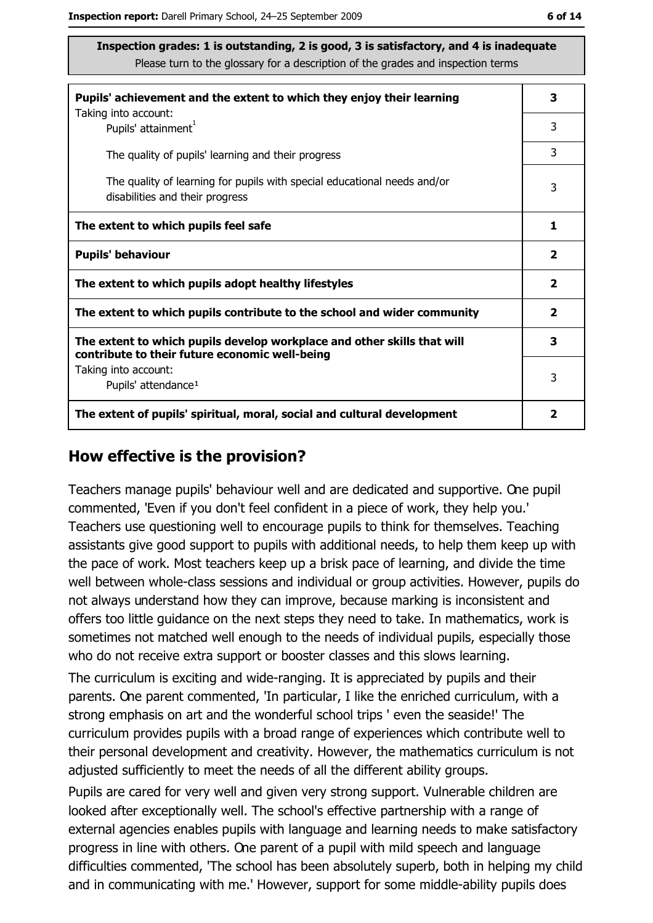| Pupils' achievement and the extent to which they enjoy their learning                                                     |   |
|---------------------------------------------------------------------------------------------------------------------------|---|
| Taking into account:<br>Pupils' attainment <sup>1</sup>                                                                   | 3 |
| The quality of pupils' learning and their progress                                                                        | 3 |
| The quality of learning for pupils with special educational needs and/or<br>disabilities and their progress               |   |
| The extent to which pupils feel safe                                                                                      |   |
| <b>Pupils' behaviour</b>                                                                                                  |   |
| The extent to which pupils adopt healthy lifestyles                                                                       |   |
| The extent to which pupils contribute to the school and wider community                                                   |   |
| The extent to which pupils develop workplace and other skills that will<br>contribute to their future economic well-being |   |
| Taking into account:                                                                                                      | 3 |
| Pupils' attendance <sup>1</sup>                                                                                           |   |
| The extent of pupils' spiritual, moral, social and cultural development                                                   |   |

#### How effective is the provision?

Teachers manage pupils' behaviour well and are dedicated and supportive. One pupil commented, 'Even if you don't feel confident in a piece of work, they help you.' Teachers use questioning well to encourage pupils to think for themselves. Teaching assistants give good support to pupils with additional needs, to help them keep up with the pace of work. Most teachers keep up a brisk pace of learning, and divide the time well between whole-class sessions and individual or group activities. However, pupils do not always understand how they can improve, because marking is inconsistent and offers too little quidance on the next steps they need to take. In mathematics, work is sometimes not matched well enough to the needs of individual pupils, especially those who do not receive extra support or booster classes and this slows learning.

The curriculum is exciting and wide-ranging. It is appreciated by pupils and their parents. One parent commented, 'In particular, I like the enriched curriculum, with a strong emphasis on art and the wonderful school trips ' even the seaside!' The curriculum provides pupils with a broad range of experiences which contribute well to their personal development and creativity. However, the mathematics curriculum is not adjusted sufficiently to meet the needs of all the different ability groups.

Pupils are cared for very well and given very strong support. Vulnerable children are looked after exceptionally well. The school's effective partnership with a range of external agencies enables pupils with language and learning needs to make satisfactory progress in line with others. One parent of a pupil with mild speech and language difficulties commented, 'The school has been absolutely superb, both in helping my child and in communicating with me.' However, support for some middle-ability pupils does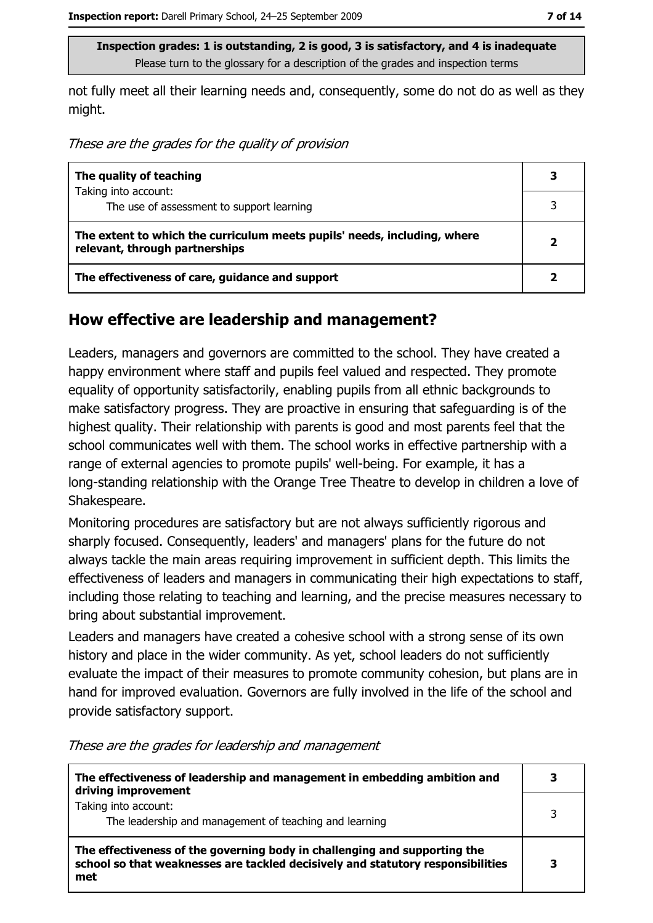not fully meet all their learning needs and, consequently, some do not do as well as they might.

These are the grades for the quality of provision

| The quality of teaching                                                                                    | 3 |
|------------------------------------------------------------------------------------------------------------|---|
| Taking into account:<br>The use of assessment to support learning                                          |   |
|                                                                                                            |   |
| The extent to which the curriculum meets pupils' needs, including, where<br>relevant, through partnerships |   |
| The effectiveness of care, guidance and support                                                            |   |

#### How effective are leadership and management?

Leaders, managers and governors are committed to the school. They have created a happy environment where staff and pupils feel valued and respected. They promote equality of opportunity satisfactorily, enabling pupils from all ethnic backgrounds to make satisfactory progress. They are proactive in ensuring that safeguarding is of the highest quality. Their relationship with parents is good and most parents feel that the school communicates well with them. The school works in effective partnership with a range of external agencies to promote pupils' well-being. For example, it has a long-standing relationship with the Orange Tree Theatre to develop in children a love of Shakespeare.

Monitoring procedures are satisfactory but are not always sufficiently rigorous and sharply focused. Consequently, leaders' and managers' plans for the future do not always tackle the main areas requiring improvement in sufficient depth. This limits the effectiveness of leaders and managers in communicating their high expectations to staff, including those relating to teaching and learning, and the precise measures necessary to bring about substantial improvement.

Leaders and managers have created a cohesive school with a strong sense of its own history and place in the wider community. As yet, school leaders do not sufficiently evaluate the impact of their measures to promote community cohesion, but plans are in hand for improved evaluation. Governors are fully involved in the life of the school and provide satisfactory support.

| The effectiveness of leadership and management in embedding ambition and<br>driving improvement                                                                     |   |
|---------------------------------------------------------------------------------------------------------------------------------------------------------------------|---|
| Taking into account:<br>The leadership and management of teaching and learning                                                                                      | 3 |
| The effectiveness of the governing body in challenging and supporting the<br>school so that weaknesses are tackled decisively and statutory responsibilities<br>met | 3 |

These are the grades for leadership and management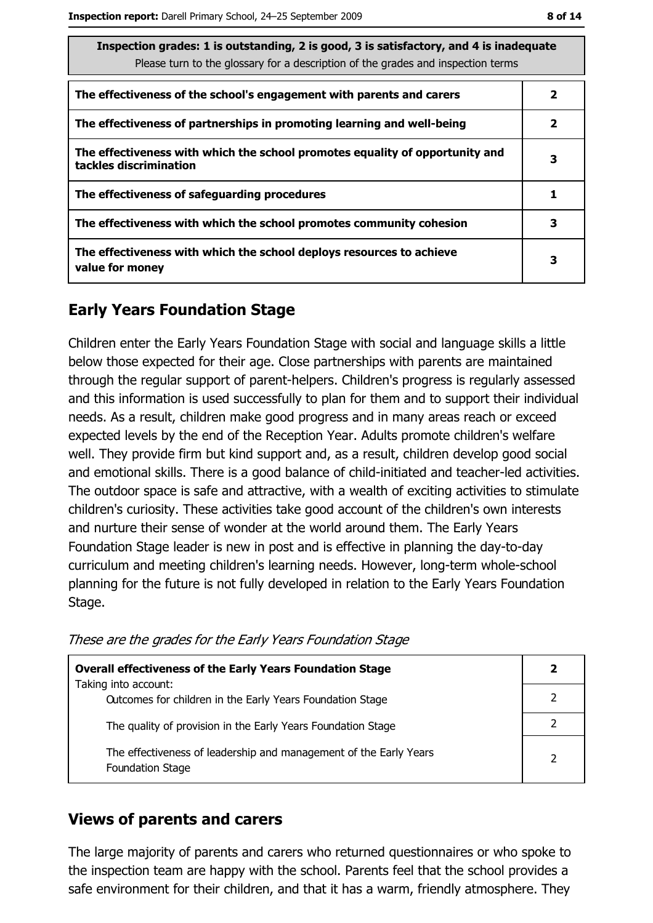| Inspection grades: 1 is outstanding, 2 is good, 3 is satisfactory, and 4 is inadequate<br>Please turn to the glossary for a description of the grades and inspection terms |  |  |
|----------------------------------------------------------------------------------------------------------------------------------------------------------------------------|--|--|
| The effectiveness of the school's engagement with parents and carers<br>$\mathbf{2}$                                                                                       |  |  |
| The effectiveness of partnerships in promoting learning and well-being                                                                                                     |  |  |
| The effectiveness with which the school promotes equality of opportunity and<br>tackles discrimination                                                                     |  |  |
| The effectiveness of safeguarding procedures                                                                                                                               |  |  |
| The effectiveness with which the school promotes community cohesion                                                                                                        |  |  |
| The effectiveness with which the school deploys resources to achieve<br>3<br>value for money                                                                               |  |  |

#### **Early Years Foundation Stage**

Children enter the Early Years Foundation Stage with social and language skills a little below those expected for their age. Close partnerships with parents are maintained through the regular support of parent-helpers. Children's progress is regularly assessed and this information is used successfully to plan for them and to support their individual needs. As a result, children make good progress and in many areas reach or exceed expected levels by the end of the Reception Year. Adults promote children's welfare well. They provide firm but kind support and, as a result, children develop good social and emotional skills. There is a good balance of child-initiated and teacher-led activities. The outdoor space is safe and attractive, with a wealth of exciting activities to stimulate children's curiosity. These activities take good account of the children's own interests and nurture their sense of wonder at the world around them. The Early Years Foundation Stage leader is new in post and is effective in planning the day-to-day curriculum and meeting children's learning needs. However, long-term whole-school planning for the future is not fully developed in relation to the Early Years Foundation Stage.

| <b>Overall effectiveness of the Early Years Foundation Stage</b>                             |  |
|----------------------------------------------------------------------------------------------|--|
| Taking into account:<br>Outcomes for children in the Early Years Foundation Stage            |  |
| The quality of provision in the Early Years Foundation Stage                                 |  |
| The effectiveness of leadership and management of the Early Years<br><b>Foundation Stage</b> |  |

These are the grades for the Early Years Foundation Stage

#### **Views of parents and carers**

The large majority of parents and carers who returned questionnaires or who spoke to the inspection team are happy with the school. Parents feel that the school provides a safe environment for their children, and that it has a warm, friendly atmosphere. They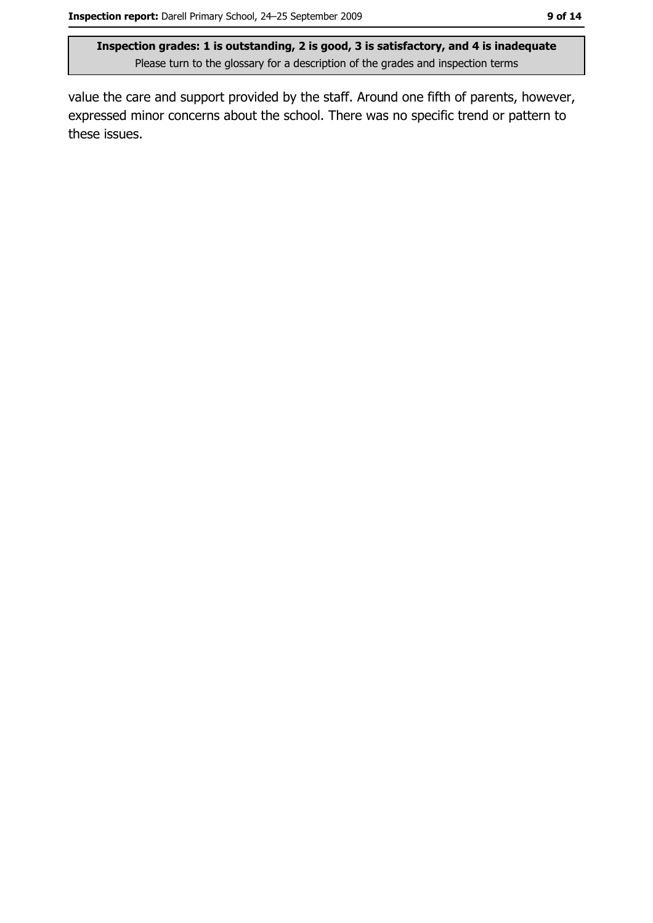value the care and support provided by the staff. Around one fifth of parents, however, expressed minor concerns about the school. There was no specific trend or pattern to these issues.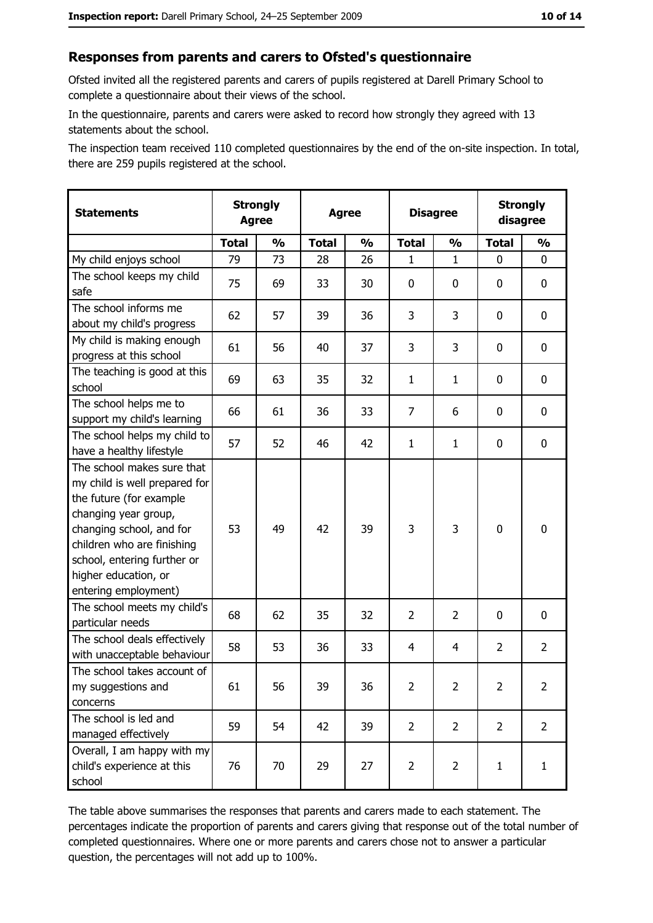#### Responses from parents and carers to Ofsted's questionnaire

Ofsted invited all the registered parents and carers of pupils registered at Darell Primary School to complete a questionnaire about their views of the school.

In the questionnaire, parents and carers were asked to record how strongly they agreed with 13 statements about the school.

The inspection team received 110 completed questionnaires by the end of the on-site inspection. In total, there are 259 pupils registered at the school.

| <b>Statements</b>                                                                                                                                                                                                                                       | <b>Strongly</b><br><b>Agree</b> |               | <b>Agree</b> |               | <b>Disagree</b> |                | <b>Strongly</b><br>disagree |                |
|---------------------------------------------------------------------------------------------------------------------------------------------------------------------------------------------------------------------------------------------------------|---------------------------------|---------------|--------------|---------------|-----------------|----------------|-----------------------------|----------------|
|                                                                                                                                                                                                                                                         | <b>Total</b>                    | $\frac{1}{2}$ | <b>Total</b> | $\frac{0}{0}$ | <b>Total</b>    | $\frac{0}{0}$  | <b>Total</b>                | $\frac{1}{2}$  |
| My child enjoys school                                                                                                                                                                                                                                  | 79                              | 73            | 28           | 26            | 1               | $\mathbf{1}$   | $\Omega$                    | 0              |
| The school keeps my child<br>safe                                                                                                                                                                                                                       | 75                              | 69            | 33           | 30            | $\mathbf 0$     | 0              | $\mathbf{0}$                | 0              |
| The school informs me<br>about my child's progress                                                                                                                                                                                                      | 62                              | 57            | 39           | 36            | 3               | 3              | $\mathbf{0}$                | 0              |
| My child is making enough<br>progress at this school                                                                                                                                                                                                    | 61                              | 56            | 40           | 37            | 3               | 3              | 0                           | 0              |
| The teaching is good at this<br>school                                                                                                                                                                                                                  | 69                              | 63            | 35           | 32            | $\mathbf{1}$    | $\mathbf{1}$   | 0                           | 0              |
| The school helps me to<br>support my child's learning                                                                                                                                                                                                   | 66                              | 61            | 36           | 33            | $\overline{7}$  | 6              | 0                           | 0              |
| The school helps my child to<br>have a healthy lifestyle                                                                                                                                                                                                | 57                              | 52            | 46           | 42            | $\mathbf{1}$    | $\mathbf{1}$   | 0                           | 0              |
| The school makes sure that<br>my child is well prepared for<br>the future (for example<br>changing year group,<br>changing school, and for<br>children who are finishing<br>school, entering further or<br>higher education, or<br>entering employment) | 53                              | 49            | 42           | 39            | 3               | 3              | $\mathbf 0$                 | 0              |
| The school meets my child's<br>particular needs                                                                                                                                                                                                         | 68                              | 62            | 35           | 32            | $\overline{2}$  | $\overline{2}$ | 0                           | 0              |
| The school deals effectively<br>with unacceptable behaviour                                                                                                                                                                                             | 58                              | 53            | 36           | 33            | $\overline{4}$  | 4              | $\overline{2}$              | $\overline{2}$ |
| The school takes account of<br>my suggestions and<br>concerns                                                                                                                                                                                           | 61                              | 56            | 39           | 36            | $\overline{2}$  | 2              | $\overline{2}$              | $\overline{2}$ |
| The school is led and<br>managed effectively                                                                                                                                                                                                            | 59                              | 54            | 42           | 39            | $\overline{2}$  | $\overline{2}$ | $\overline{2}$              | $\overline{2}$ |
| Overall, I am happy with my<br>child's experience at this<br>school                                                                                                                                                                                     | 76                              | 70            | 29           | 27            | $\overline{2}$  | $\overline{2}$ | $\mathbf{1}$                | $\mathbf{1}$   |

The table above summarises the responses that parents and carers made to each statement. The percentages indicate the proportion of parents and carers giving that response out of the total number of completed questionnaires. Where one or more parents and carers chose not to answer a particular question, the percentages will not add up to 100%.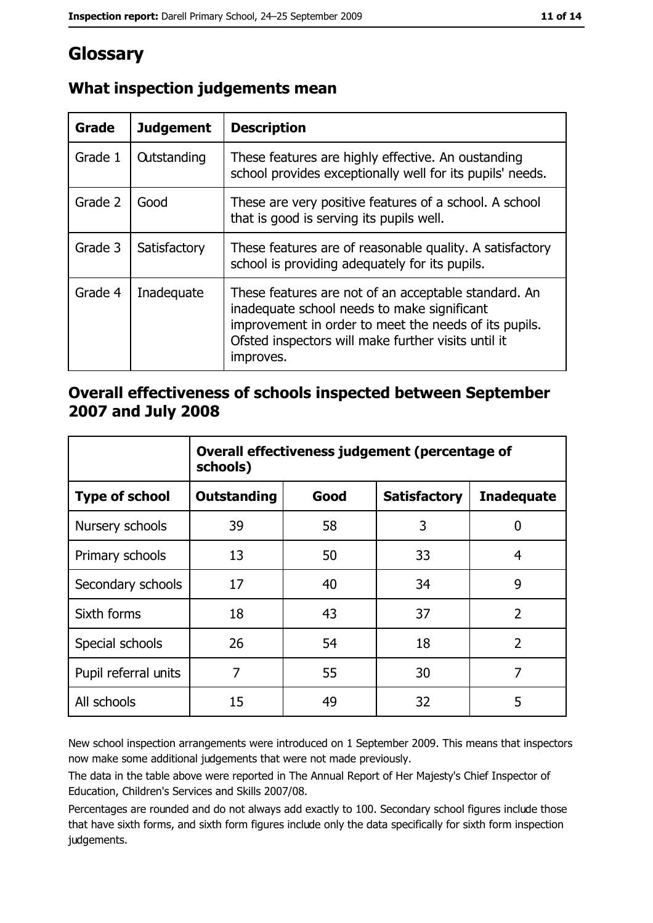# Glossary

| Grade   | <b>Judgement</b>   | <b>Description</b>                                                                                                                                                                                                               |  |
|---------|--------------------|----------------------------------------------------------------------------------------------------------------------------------------------------------------------------------------------------------------------------------|--|
| Grade 1 | <b>Outstanding</b> | These features are highly effective. An oustanding<br>school provides exceptionally well for its pupils' needs.                                                                                                                  |  |
| Grade 2 | Good               | These are very positive features of a school. A school<br>that is good is serving its pupils well.                                                                                                                               |  |
| Grade 3 | Satisfactory       | These features are of reasonable quality. A satisfactory<br>school is providing adequately for its pupils.                                                                                                                       |  |
| Grade 4 | Inadequate         | These features are not of an acceptable standard. An<br>inadequate school needs to make significant<br>improvement in order to meet the needs of its pupils.<br>Ofsted inspectors will make further visits until it<br>improves. |  |

## What inspection judgements mean

#### Overall effectiveness of schools inspected between September 2007 and July 2008

|                       | Overall effectiveness judgement (percentage of<br>schools) |      |                     |                   |
|-----------------------|------------------------------------------------------------|------|---------------------|-------------------|
| <b>Type of school</b> | <b>Outstanding</b>                                         | Good | <b>Satisfactory</b> | <b>Inadequate</b> |
| Nursery schools       | 39                                                         | 58   | 3                   | 0                 |
| Primary schools       | 13                                                         | 50   | 33                  | 4                 |
| Secondary schools     | 17                                                         | 40   | 34                  | 9                 |
| Sixth forms           | 18                                                         | 43   | 37                  | $\overline{2}$    |
| Special schools       | 26                                                         | 54   | 18                  | $\overline{2}$    |
| Pupil referral units  | 7                                                          | 55   | 30                  | 7                 |
| All schools           | 15                                                         | 49   | 32                  | 5                 |

New school inspection arrangements were introduced on 1 September 2009. This means that inspectors now make some additional judgements that were not made previously.

The data in the table above were reported in The Annual Report of Her Majesty's Chief Inspector of Education, Children's Services and Skills 2007/08.

Percentages are rounded and do not always add exactly to 100. Secondary school figures include those that have sixth forms, and sixth form figures include only the data specifically for sixth form inspection judgements.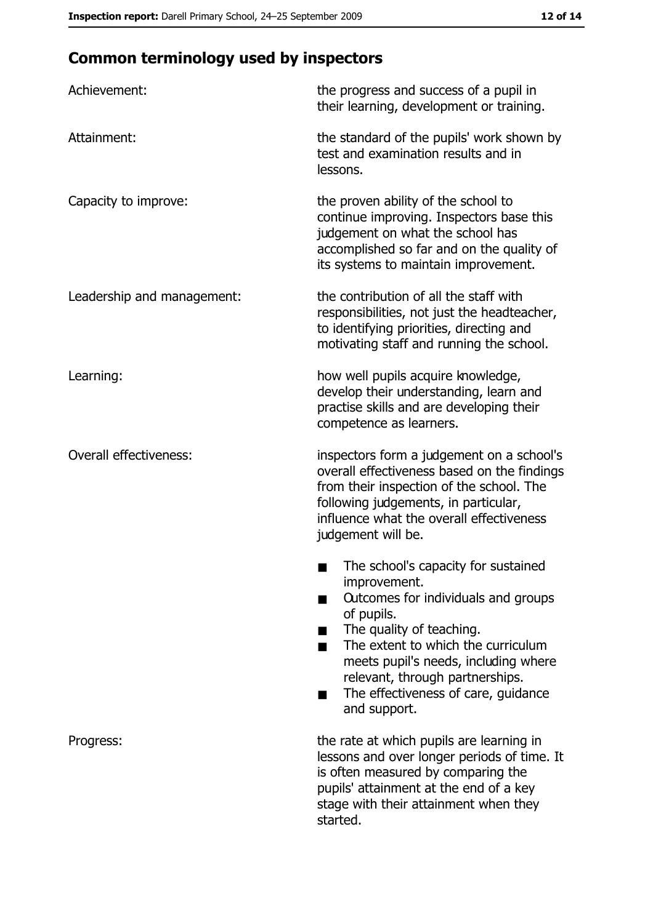## **Common terminology used by inspectors**

| Achievement:                  | the progress and success of a pupil in<br>their learning, development or training.                                                                                                                                                                                                                           |
|-------------------------------|--------------------------------------------------------------------------------------------------------------------------------------------------------------------------------------------------------------------------------------------------------------------------------------------------------------|
| Attainment:                   | the standard of the pupils' work shown by<br>test and examination results and in<br>lessons.                                                                                                                                                                                                                 |
| Capacity to improve:          | the proven ability of the school to<br>continue improving. Inspectors base this<br>judgement on what the school has<br>accomplished so far and on the quality of<br>its systems to maintain improvement.                                                                                                     |
| Leadership and management:    | the contribution of all the staff with<br>responsibilities, not just the headteacher,<br>to identifying priorities, directing and<br>motivating staff and running the school.                                                                                                                                |
| Learning:                     | how well pupils acquire knowledge,<br>develop their understanding, learn and<br>practise skills and are developing their<br>competence as learners.                                                                                                                                                          |
| <b>Overall effectiveness:</b> | inspectors form a judgement on a school's<br>overall effectiveness based on the findings<br>from their inspection of the school. The<br>following judgements, in particular,<br>influence what the overall effectiveness<br>judgement will be.                                                               |
|                               | The school's capacity for sustained<br>improvement.<br>Outcomes for individuals and groups<br>of pupils.<br>The quality of teaching.<br>The extent to which the curriculum<br>meets pupil's needs, including where<br>relevant, through partnerships.<br>The effectiveness of care, guidance<br>and support. |
| Progress:                     | the rate at which pupils are learning in<br>lessons and over longer periods of time. It<br>is often measured by comparing the<br>pupils' attainment at the end of a key<br>stage with their attainment when they<br>started.                                                                                 |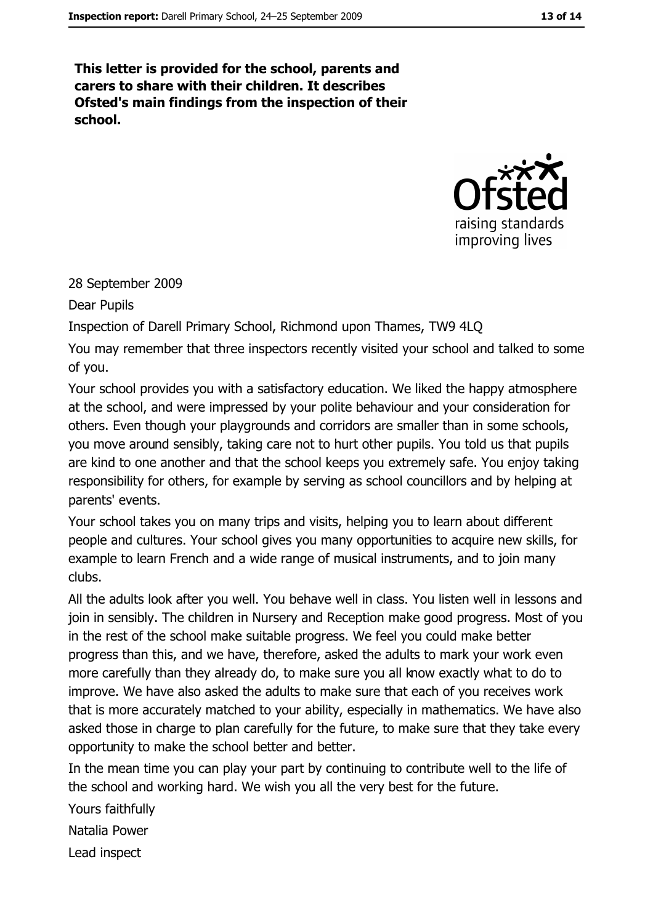This letter is provided for the school, parents and carers to share with their children. It describes Ofsted's main findings from the inspection of their school.



#### 28 September 2009

Dear Pupils

Inspection of Darell Primary School, Richmond upon Thames, TW9 4LQ

You may remember that three inspectors recently visited your school and talked to some of you.

Your school provides you with a satisfactory education. We liked the happy atmosphere at the school, and were impressed by your polite behaviour and your consideration for others. Even though your playgrounds and corridors are smaller than in some schools, you move around sensibly, taking care not to hurt other pupils. You told us that pupils are kind to one another and that the school keeps you extremely safe. You enjoy taking responsibility for others, for example by serving as school councillors and by helping at parents' events.

Your school takes you on many trips and visits, helping you to learn about different people and cultures. Your school gives you many opportunities to acquire new skills, for example to learn French and a wide range of musical instruments, and to join many clubs.

All the adults look after you well. You behave well in class. You listen well in lessons and join in sensibly. The children in Nursery and Reception make good progress. Most of you in the rest of the school make suitable progress. We feel you could make better progress than this, and we have, therefore, asked the adults to mark your work even more carefully than they already do, to make sure you all know exactly what to do to improve. We have also asked the adults to make sure that each of you receives work that is more accurately matched to your ability, especially in mathematics. We have also asked those in charge to plan carefully for the future, to make sure that they take every opportunity to make the school better and better.

In the mean time you can play your part by continuing to contribute well to the life of the school and working hard. We wish you all the very best for the future.

Yours faithfully Natalia Power Lead inspect